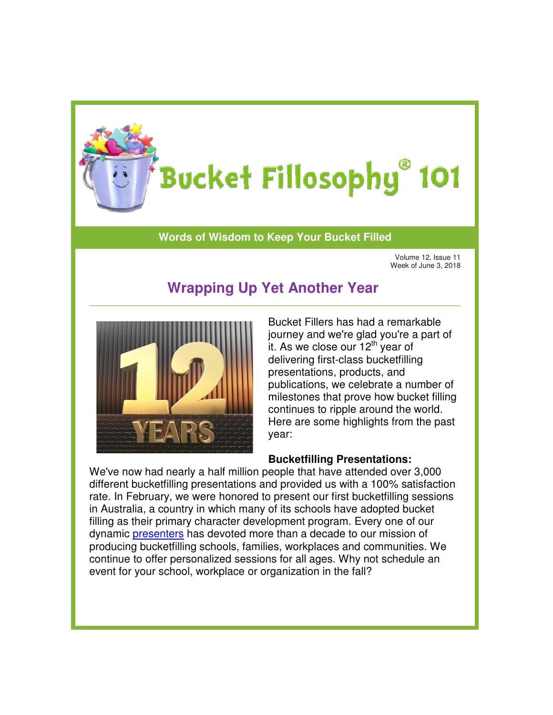

## **Words of Wisdom to Keep Your Bucket Filled**

Volume 12, Issue 11 Week of June 3, 2018 3, 2018

# **Wrapping Up Yet Another Year**



Bucket Fillers has had a remarkable journey and we're glad you're a part of it. As we close our  $12<sup>th</sup>$  year of delivering first-class bucketfilling presentations, products, and publications, we celebrate a number of milestones that prove how bucket filling continues to ripple around the world. Here are some highlights from the past year:

## **Bucketfilling Presentations:**

We've now had nearly a half million people that have attended over 3,000 different bucketfilling presentations and provided us with a 100% satisfaction rate. In February, we were honored to present our first bucketfilling sessions in Australia, a country in which many of its schools have adopted bucket filling as their primary character development program. Every one of our dynamic [presenters](http://www.bucketfillers101.com/bucketfiller-team.php) has devoted more than a decade to our mission of We've now had nearly a half million people that have attended over 3,000 different bucketfilling presentations and provided us with a 100% satisfactio rate. In February, we were honored to present our first bucketfilling s continue to offer personalized sessions for all ages. Why not schedule an event for your school, workplace or organization in the fall? Wrapping Up Yet Another Year<br>
Week of Junes 3, 2018<br>
Bucket Fillers has had a remarkable<br>
journey and we're glad you're a part of<br>
it. As we close our 12<sup>th</sup> year of<br>
delivering first-class bucketfilling<br>
presentations, we Bucket Fillers has had a remarkable<br>
journey and we're glad you're a part of<br>
it. As we close our 12<sup>th</sup> year of<br>
delivering first-class bucketfilling<br>
presentations, products, and<br>
publications, we celebrate a number of<br>